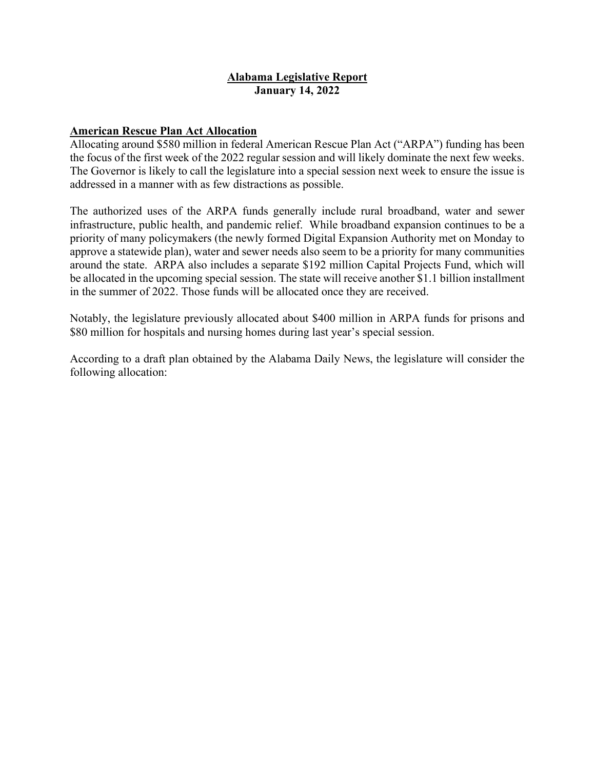### **Alabama Legislative Report January 14, 2022**

## **American Rescue Plan Act Allocation**

Allocating around \$580 million in federal American Rescue Plan Act ("ARPA") funding has been the focus of the first week of the 2022 regular session and will likely dominate the next few weeks. The Governor is likely to call the legislature into a special session next week to ensure the issue is addressed in a manner with as few distractions as possible.

The authorized uses of the ARPA funds generally include rural broadband, water and sewer infrastructure, public health, and pandemic relief. While broadband expansion continues to be a priority of many policymakers (the newly formed Digital Expansion Authority met on Monday to approve a statewide plan), water and sewer needs also seem to be a priority for many communities around the state. ARPA also includes a separate \$192 million Capital Projects Fund, which will be allocated in the upcoming special session. The state will receive another \$1.1 billion installment in the summer of 2022. Those funds will be allocated once they are received.

Notably, the legislature previously allocated about \$400 million in ARPA funds for prisons and \$80 million for hospitals and nursing homes during last year's special session.

According to a draft plan obtained by the Alabama Daily News, the legislature will consider the following allocation: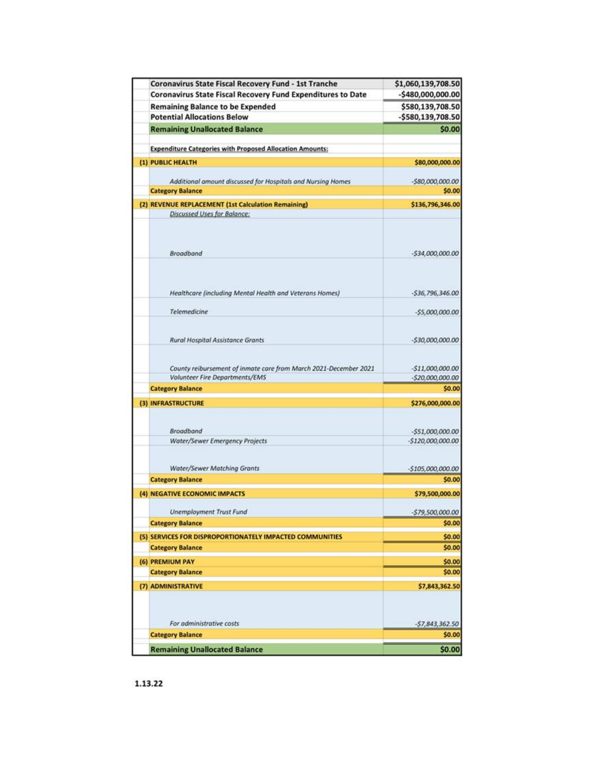| Coronavirus State Fiscal Recovery Fund - 1st Tranche<br>Coronavirus State Fiscal Recovery Fund Expenditures to Date | \$1,060,139,708.50<br>$-5480,000,000.00$ |
|---------------------------------------------------------------------------------------------------------------------|------------------------------------------|
| <b>Remaining Balance to be Expended</b>                                                                             | \$580,139,708.50                         |
| <b>Potential Allocations Below</b>                                                                                  | -\$580,139,708.50                        |
| <b>Remaining Unallocated Balance</b>                                                                                | \$0.00                                   |
|                                                                                                                     |                                          |
| <b>Expenditure Categories with Proposed Allocation Amounts:</b>                                                     |                                          |
| (1) PUBLIC HEALTH                                                                                                   | \$80,000,000.00                          |
| Additional amount discussed for Hospitals and Nursing Homes                                                         | $-580,000,000.00$                        |
| <b>Category Balance</b>                                                                                             | \$0.00                                   |
| (2) REVENUE REPLACEMENT (1st Calculation Remaining)                                                                 | \$136,796,346.00                         |
| <b>Discussed Uses for Balance:</b>                                                                                  |                                          |
| Broadband                                                                                                           | $-534,000,000.00$                        |
|                                                                                                                     |                                          |
| Healthcare (including Mental Health and Veterans Homes)                                                             | $-536,796,346.00$                        |
| Telemedicine                                                                                                        | $-55,000,000.00$                         |
| <b>Rural Hospital Assistance Grants</b>                                                                             | $-530,000,000.00$                        |
| County reibursement of inmate care from March 2021-December 2021<br><b>Volunteer Fire Departments/EMS</b>           | $-511,000,000.00$<br>$-520,000,000.00$   |
| <b>Category Balance</b>                                                                                             | \$0.00                                   |
| (3) INFRASTRUCTURE                                                                                                  | \$276,000,000.00                         |
|                                                                                                                     |                                          |
| Broadband                                                                                                           | $-551,000,000.00$                        |
| Water/Sewer Emergency Projects                                                                                      | $-$120,000,000.00$                       |
|                                                                                                                     |                                          |
| <b>Water/Sewer Matching Grants</b>                                                                                  | $-5105,000,000.00$                       |
| <b>Category Balance</b>                                                                                             | \$0.00                                   |
| (4) NEGATIVE ECONOMIC IMPACTS                                                                                       | \$79,500,000.00                          |
| <b>Unemployment Trust Fund</b>                                                                                      | $-579,500,000.00$                        |
| <b>Category Balance</b>                                                                                             | \$0.00                                   |
| (5) SERVICES FOR DISPROPORTIONATELY IMPACTED COMMUNITIES                                                            | \$0.00                                   |
| <b>Category Balance</b>                                                                                             | \$0.00                                   |
| (6) PREMIUM PAY                                                                                                     | \$0.00                                   |
| <b>Category Balance</b>                                                                                             | \$0.00                                   |
| (7) ADMINISTRATIVE                                                                                                  | \$7,843,362.50                           |
|                                                                                                                     |                                          |
| For administrative costs                                                                                            | $-57,843,362.50$                         |
| <b>Category Balance</b>                                                                                             | \$0.00                                   |
| <b>Remaining Unallocated Balance</b>                                                                                |                                          |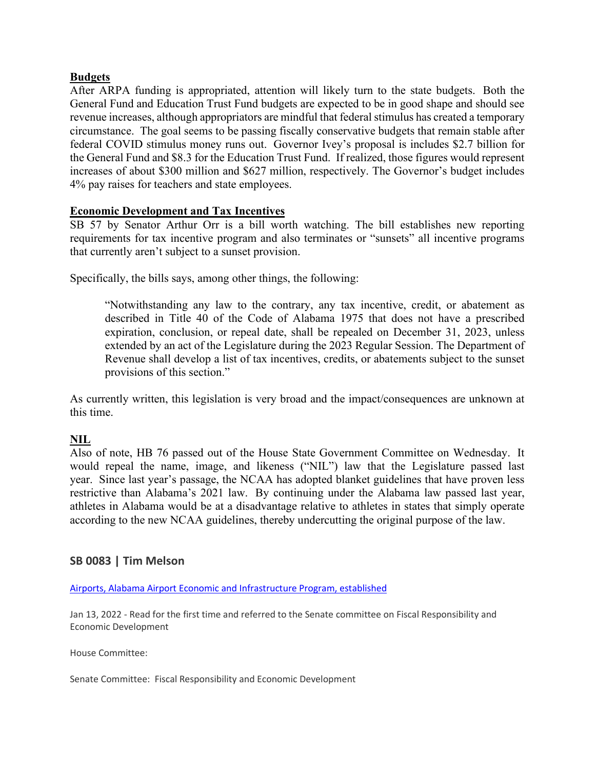### **Budgets**

After ARPA funding is appropriated, attention will likely turn to the state budgets. Both the General Fund and Education Trust Fund budgets are expected to be in good shape and should see revenue increases, although appropriators are mindful that federal stimulus has created a temporary circumstance. The goal seems to be passing fiscally conservative budgets that remain stable after federal COVID stimulus money runs out. Governor Ivey's proposal is includes \$2.7 billion for the General Fund and \$8.3 for the Education Trust Fund. If realized, those figures would represent increases of about \$300 million and \$627 million, respectively. The Governor's budget includes 4% pay raises for teachers and state employees.

### **Economic Development and Tax Incentives**

SB 57 by Senator Arthur Orr is a bill worth watching. The bill establishes new reporting requirements for tax incentive program and also terminates or "sunsets" all incentive programs that currently aren't subject to a sunset provision.

Specifically, the bills says, among other things, the following:

"Notwithstanding any law to the contrary, any tax incentive, credit, or abatement as described in Title 40 of the Code of Alabama 1975 that does not have a prescribed expiration, conclusion, or repeal date, shall be repealed on December 31, 2023, unless extended by an act of the Legislature during the 2023 Regular Session. The Department of Revenue shall develop a list of tax incentives, credits, or abatements subject to the sunset provisions of this section."

As currently written, this legislation is very broad and the impact/consequences are unknown at this time.

# **NIL**

Also of note, HB 76 passed out of the House State Government Committee on Wednesday. It would repeal the name, image, and likeness ("NIL") law that the Legislature passed last year. Since last year's passage, the NCAA has adopted blanket guidelines that have proven less restrictive than Alabama's 2021 law. By continuing under the Alabama law passed last year, athletes in Alabama would be at a disadvantage relative to athletes in states that simply operate according to the new NCAA guidelines, thereby undercutting the original purpose of the law.

# **SB 0083 | Tim Melson**

[Airports, Alabama Airport Economic and Infrastructure Program, established](https://url.emailprotection.link/?b5MGdmWU5yxGTa0DeOvJ0gftbqCJNCQYJP1VHlPp1oq_3uNNLaICp3f-3wrLXvf2tGAA_t2VauMYHl2XVOo98TI7-UF1M_dvgIcGY1WaXf711HS3U1WUOdvNnEw3lVhBq_uVgpKSIuy2QmIe_theo-Zc9XXwR3sBRnCDKOZz4CP-y5n_q2q9uUZvpVe1peAz_R_KXnwC5_5xg6xr9PbOAN7bKBCyA8FDYRY6yEACCg8m2FG3voldURnmplcErvtcg9OLxJUdN4wrULc37gdnaM_xJe924GAg9y6AcKDHPCelxB9aZmVonPou_SiTls4yjJh3oqWg_129oWYnnhXpQyNYQ8A-sFSNhrsQ5Cdrlg4BVVLc-SSPZfOubwXtv79Zo1FPQNCakbZyylIRHaVKgFu8P9bhwWNOMGx17V87wgvR2rIFcaU3ALnLKFtN-iG49_61vAqrE467tKeFqI8LVysZJi6eRDWtyQUySM_xaANv4nrrwLzKFlvxByPgAu40VdtmEJdrbNoizO7iiJg-jEjh7ZnpMgQz8xI1WufVoRONBoQRqv8StPbLjFbUCY9HXhKxtefhhYuF9oO9tkIyaMU34a4wiMCp1YKHwrPb9If6AnGF7nIUdQN0Ru4TPf5Lz)

Jan 13, 2022 - Read for the first time and referred to the Senate committee on Fiscal Responsibility and Economic Development

House Committee:

Senate Committee: Fiscal Responsibility and Economic Development